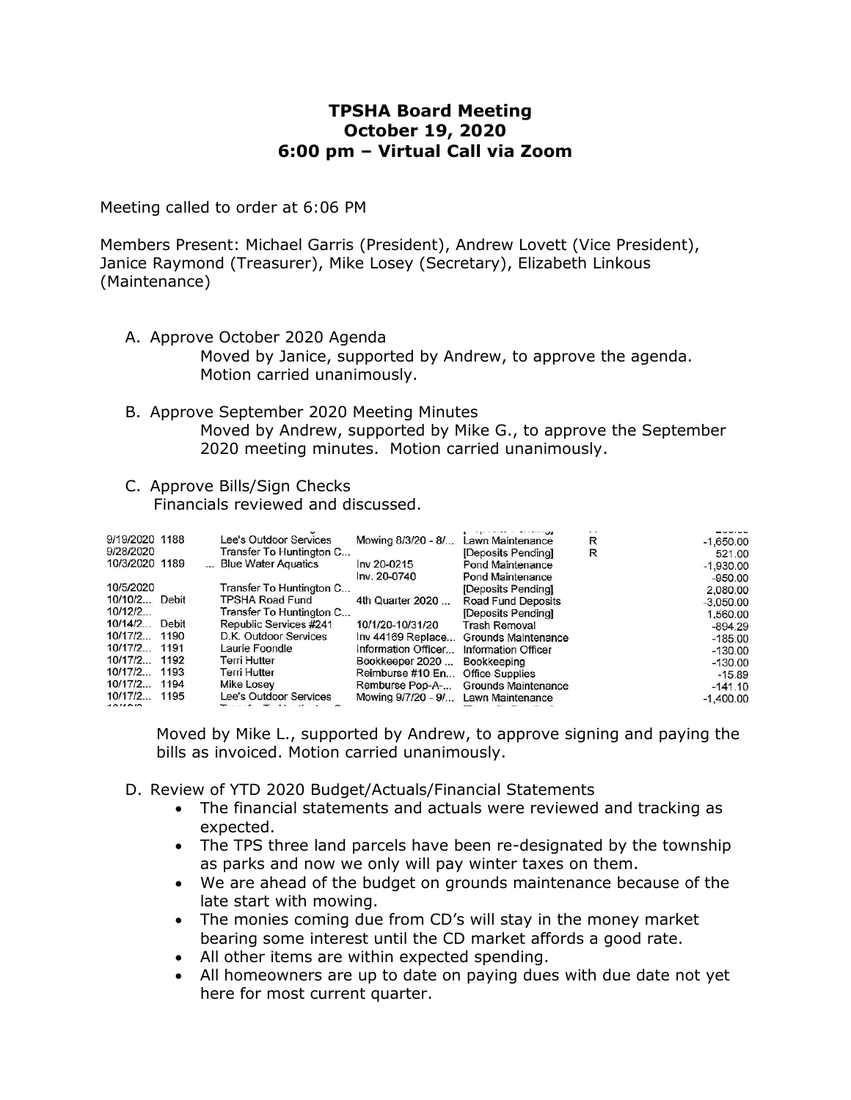# **TPSHA Board Meeting October 19, 2020 6:00 pm – Virtual Call via Zoom**

Meeting called to order at 6:06 PM

Members Present: Michael Garris (President), Andrew Lovett (Vice President), Janice Raymond (Treasurer), Mike Losey (Secretary), Elizabeth Linkous (Maintenance)

- A. Approve October 2020 Agenda Moved by Janice, supported by Andrew, to approve the agenda. Motion carried unanimously.
- B. Approve September 2020 Meeting Minutes Moved by Andrew, supported by Mike G., to approve the September 2020 meeting minutes. Motion carried unanimously.
- C. Approve Bills/Sign Checks Financials reviewed and discussed.

| 9/19/2020 1188 |       | Lee's Outdoor Services   | Mowing 8/3/20 - 8/  | Lawn Maintenance        | R | $-1,650.00$ |
|----------------|-------|--------------------------|---------------------|-------------------------|---|-------------|
| 9/28/2020      |       | Transfer To Huntington C |                     | [Deposits Pending]      | R | 521.00      |
| 10/3/2020 1189 |       | Blue Water Aquatics      | Inv 20-0215         | <b>Pond Maintenance</b> |   | $-1,930.00$ |
|                |       |                          | Inv. 20-0740        | Pond Maintenance        |   | $-950.00$   |
| 10/5/2020      |       | Transfer To Huntington C |                     | [Deposits Pending]      |   | 2,080.00    |
| 10/10/2        | Debit | TPSHA Road Fund          | 4th Quarter 2020    | Road Fund Deposits      |   | $-3.050.00$ |
| 10/12/2        |       | Transfer To Huntington C |                     | [Deposits Pending]      |   | 1,560.00    |
| $10/14/2$      | Debit | Republic Services #241   | 10/1/20-10/31/20    | <b>Trash Removal</b>    |   | $-894.29$   |
| 10/17/2        | 1190  | D.K. Outdoor Services    | Inv 44169 Replace   | Grounds Maintenance     |   | $-185.00$   |
| 10/17/2 1191   |       | Laurie Foondle           | Information Officer | Information Officer     |   | $-130.00$   |
| 10/17/2        | 1192  | Terri Hutter             | Bookkeeper 2020     | Bookkeeping             |   | $-130.00$   |
| 10/17/2        | 1193  | Terri Hutter             | Reimburse #10 En    | <b>Office Supplies</b>  |   | $-15.89$    |
| 10/17/2        | 1194  | Mike Losey               | Remburse Pop-A-     | Grounds Maintenance     |   | $-141.10$   |
| 10/17/2        | 1195  | Lee's Outdoor Services   | Mowing 9/7/20 - 9/  | Lawn Maintenance        |   | $-1,400.00$ |
| AOMOM          |       |                          |                     |                         |   |             |

Moved by Mike L., supported by Andrew, to approve signing and paying the bills as invoiced. Motion carried unanimously.

- D. Review of YTD 2020 Budget/Actuals/Financial Statements
	- The financial statements and actuals were reviewed and tracking as expected.
	- The TPS three land parcels have been re-designated by the township as parks and now we only will pay winter taxes on them.
	- We are ahead of the budget on grounds maintenance because of the late start with mowing.
	- The monies coming due from CD's will stay in the money market bearing some interest until the CD market affords a good rate.
	- All other items are within expected spending.
	- All homeowners are up to date on paying dues with due date not yet here for most current quarter.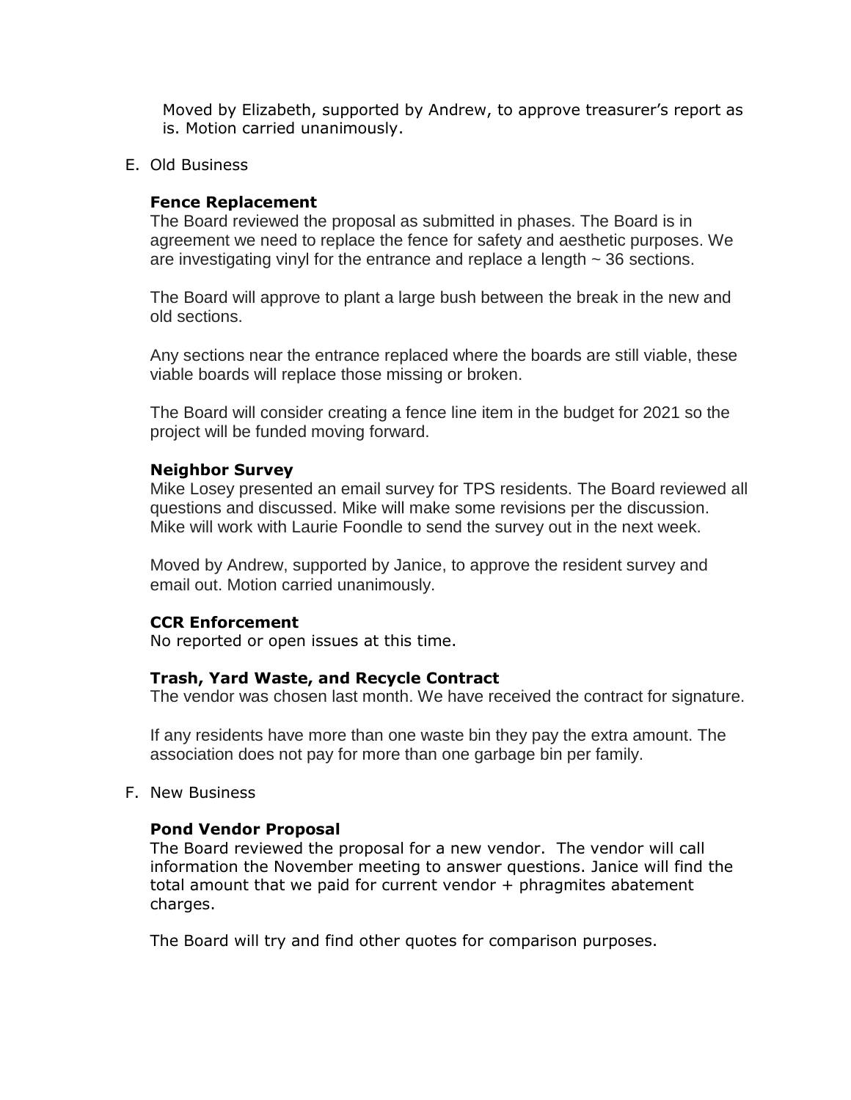Moved by Elizabeth, supported by Andrew, to approve treasurer's report as is. Motion carried unanimously.

### E. Old Business

# **Fence Replacement**

The Board reviewed the proposal as submitted in phases. The Board is in agreement we need to replace the fence for safety and aesthetic purposes. We are investigating vinyl for the entrance and replace a length ~ 36 sections.

The Board will approve to plant a large bush between the break in the new and old sections.

Any sections near the entrance replaced where the boards are still viable, these viable boards will replace those missing or broken.

The Board will consider creating a fence line item in the budget for 2021 so the project will be funded moving forward.

#### **Neighbor Survey**

Mike Losey presented an email survey for TPS residents. The Board reviewed all questions and discussed. Mike will make some revisions per the discussion. Mike will work with Laurie Foondle to send the survey out in the next week.

Moved by Andrew, supported by Janice, to approve the resident survey and email out. Motion carried unanimously.

#### **CCR Enforcement**

No reported or open issues at this time.

#### **Trash, Yard Waste, and Recycle Contract**

The vendor was chosen last month. We have received the contract for signature.

If any residents have more than one waste bin they pay the extra amount. The association does not pay for more than one garbage bin per family.

F. New Business

#### **Pond Vendor Proposal**

The Board reviewed the proposal for a new vendor. The vendor will call information the November meeting to answer questions. Janice will find the total amount that we paid for current vendor  $+$  phragmites abatement charges.

The Board will try and find other quotes for comparison purposes.